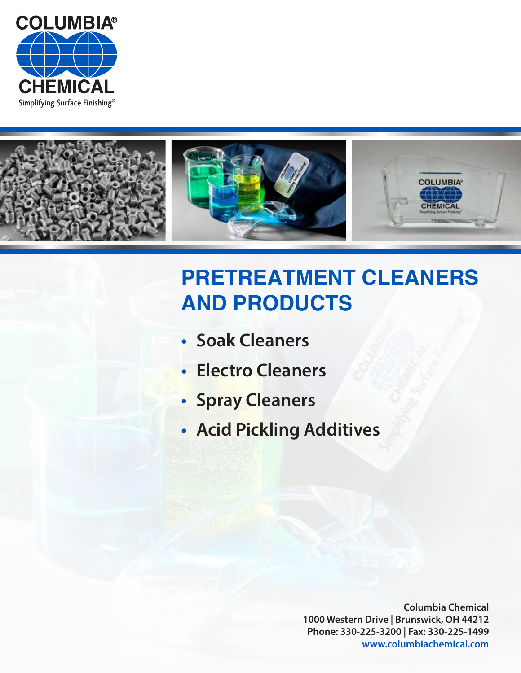



# **PRETREATMENT CLEANERS AND PRODUCTS**

- **Soak Cleaners**
- **Electro Cleaners**
- **Spray Cleaners**
- **Acid Pickling Additives**

**Columbia Chemical 1000 Western Drive | Brunswick, OH 44212 Phone: 330-225-3200 | Fax: 330-225-1499 www.columbiachemical.com**